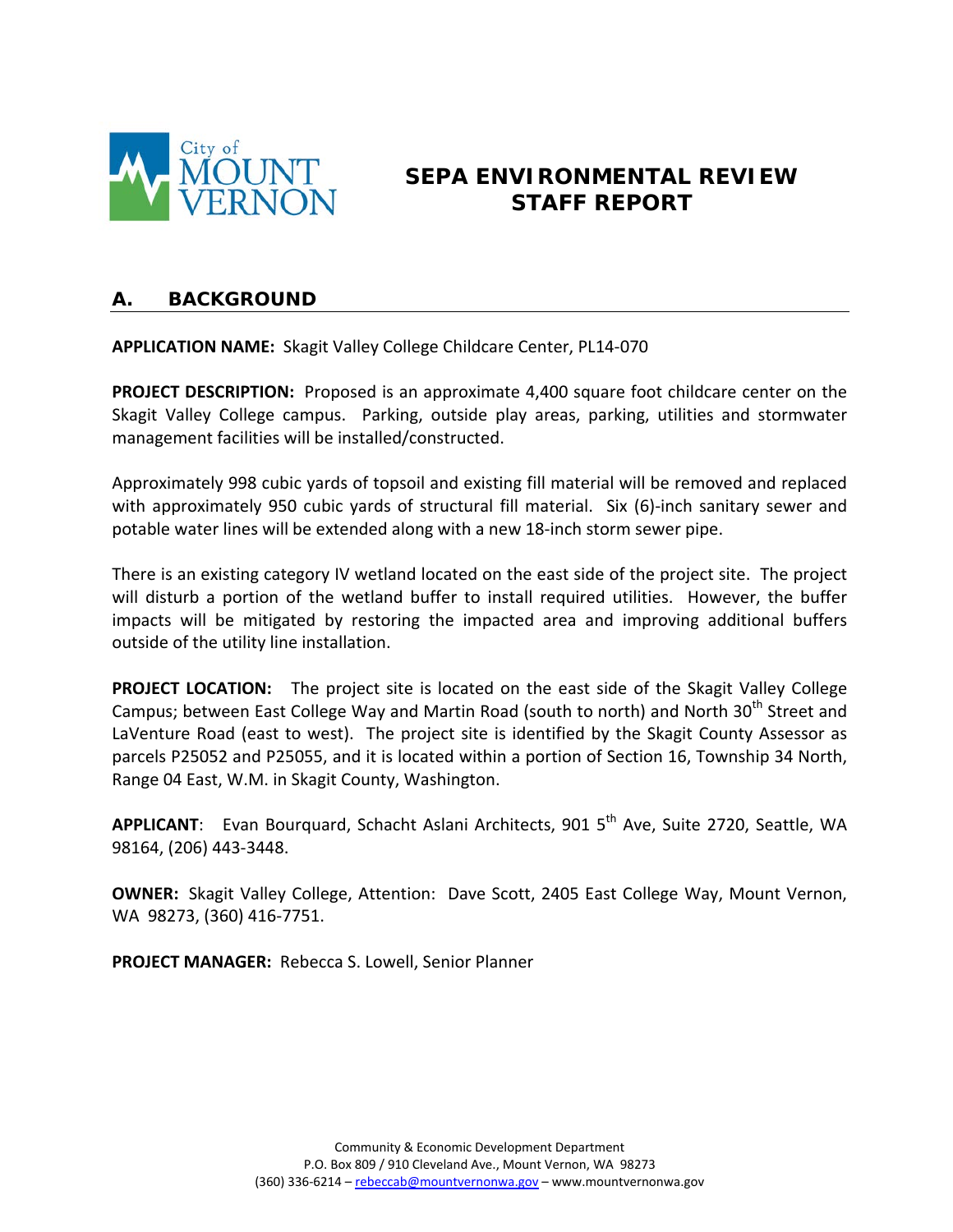

# **SEPA ENVIRONMENTAL REVIEW STAFF REPORT**

## **A. BACKGROUND**

**APPLICATION NAME:** Skagit Valley College Childcare Center, PL14-070

**PROJECT DESCRIPTION:** Proposed is an approximate 4,400 square foot childcare center on the Skagit Valley College campus. Parking, outside play areas, parking, utilities and stormwater management facilities will be installed/constructed.

Approximately 998 cubic yards of topsoil and existing fill material will be removed and replaced with approximately 950 cubic yards of structural fill material. Six (6)-inch sanitary sewer and potable water lines will be extended along with a new 18-inch storm sewer pipe.

There is an existing category IV wetland located on the east side of the project site. The project will disturb a portion of the wetland buffer to install required utilities. However, the buffer impacts will be mitigated by restoring the impacted area and improving additional buffers outside of the utility line installation.

**PROJECT LOCATION:** The project site is located on the east side of the Skagit Valley College Campus; between East College Way and Martin Road (south to north) and North 30<sup>th</sup> Street and LaVenture Road (east to west). The project site is identified by the Skagit County Assessor as parcels P25052 and P25055, and it is located within a portion of Section 16, Township 34 North, Range 04 East, W.M. in Skagit County, Washington.

APPLICANT: Evan Bourguard, Schacht Aslani Architects, 901 5<sup>th</sup> Ave, Suite 2720, Seattle, WA 98164, (206) 443-3448.

**OWNER:** Skagit Valley College, Attention: Dave Scott, 2405 East College Way, Mount Vernon, WA 98273, (360) 416-7751.

**PROJECT MANAGER:** Rebecca S. Lowell, Senior Planner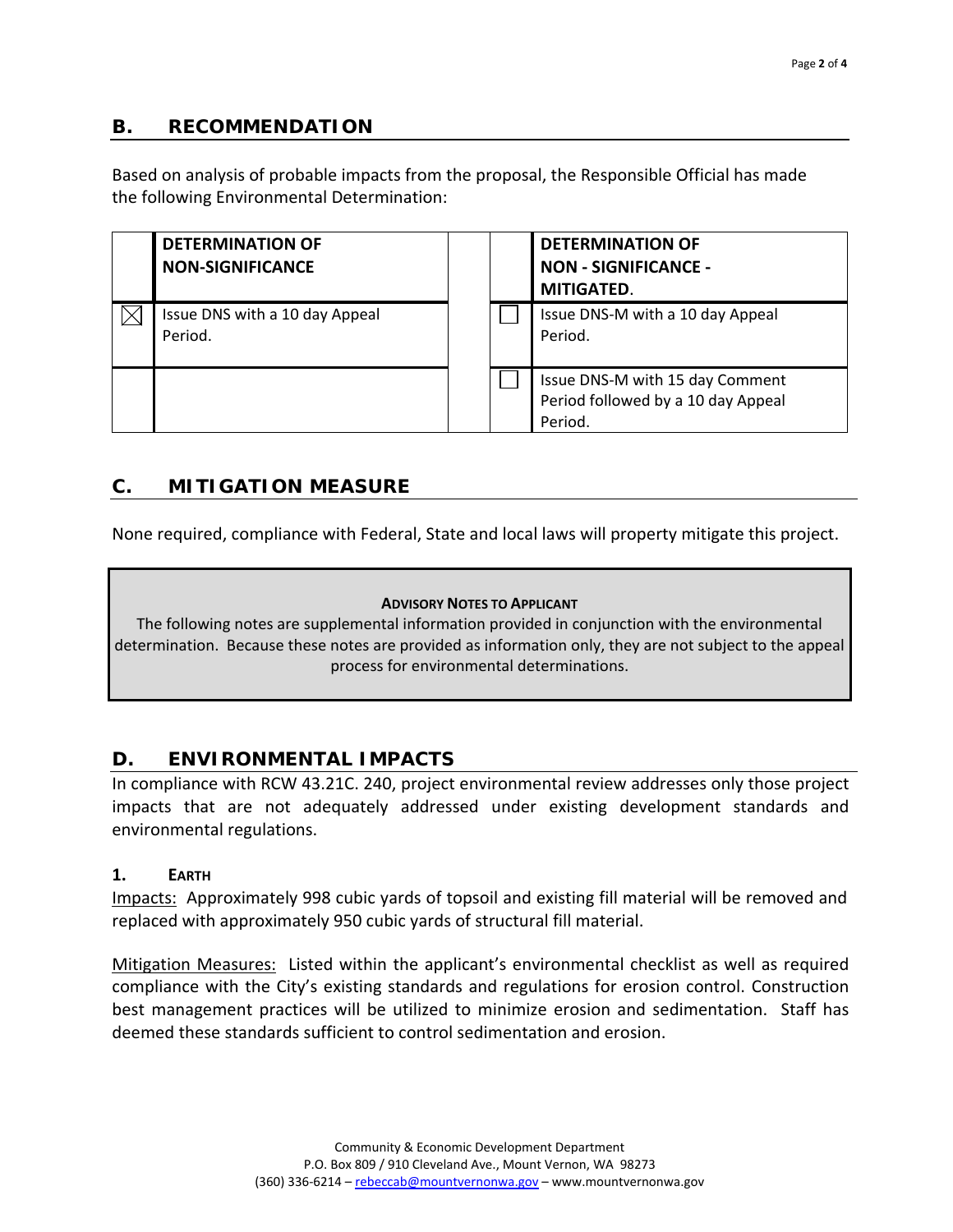## **B. RECOMMENDATION**

Based on analysis of probable impacts from the proposal, the Responsible Official has made the following Environmental Determination:

| <b>DETERMINATION OF</b><br><b>NON-SIGNIFICANCE</b> |  | <b>DETERMINATION OF</b><br><b>NON - SIGNIFICANCE -</b><br><b>MITIGATED.</b>      |
|----------------------------------------------------|--|----------------------------------------------------------------------------------|
| Issue DNS with a 10 day Appeal<br>Period.          |  | Issue DNS-M with a 10 day Appeal<br>Period.                                      |
|                                                    |  | Issue DNS-M with 15 day Comment<br>Period followed by a 10 day Appeal<br>Period. |

# **C. MITIGATION MEASURE**

None required, compliance with Federal, State and local laws will property mitigate this project.

#### **ADVISORY NOTES TO APPLICANT**

The following notes are supplemental information provided in conjunction with the environmental determination. Because these notes are provided as information only, they are not subject to the appeal process for environmental determinations.

## **D. ENVIRONMENTAL IMPACTS**

In compliance with RCW 43.21C. 240, project environmental review addresses only those project impacts that are not adequately addressed under existing development standards and environmental regulations.

#### **1. EARTH**

Impacts: Approximately 998 cubic yards of topsoil and existing fill material will be removed and replaced with approximately 950 cubic yards of structural fill material.

Mitigation Measures: Listed within the applicant's environmental checklist as well as required compliance with the City's existing standards and regulations for erosion control. Construction best management practices will be utilized to minimize erosion and sedimentation. Staff has deemed these standards sufficient to control sedimentation and erosion.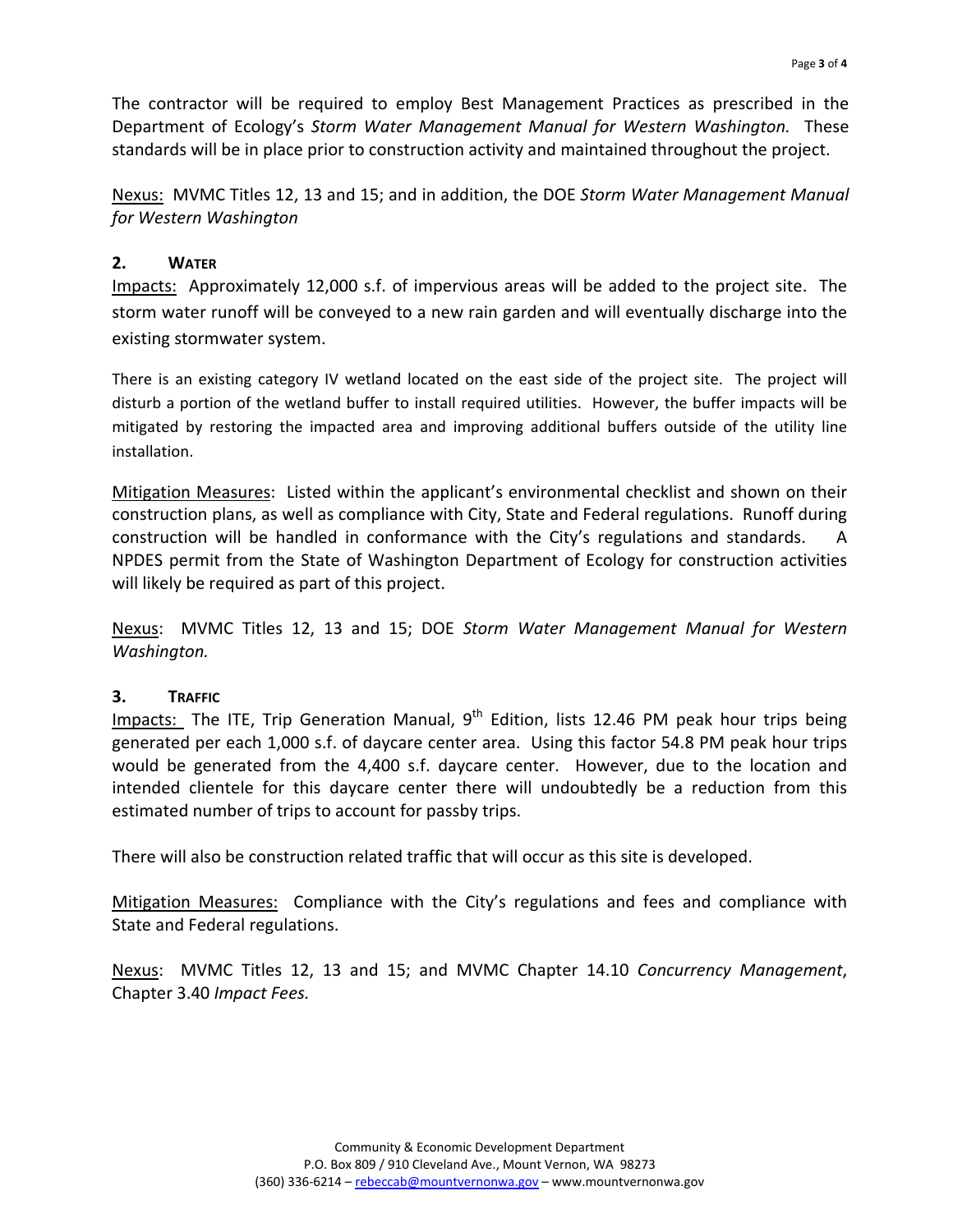The contractor will be required to employ Best Management Practices as prescribed in the Department of Ecology's *Storm Water Management Manual for Western Washington.* These standards will be in place prior to construction activity and maintained throughout the project.

Nexus: MVMC Titles 12, 13 and 15; and in addition, the DOE *Storm Water Management Manual for Western Washington*

#### **2. WATER**

Impacts: Approximately 12,000 s.f. of impervious areas will be added to the project site. The storm water runoff will be conveyed to a new rain garden and will eventually discharge into the existing stormwater system.

There is an existing category IV wetland located on the east side of the project site. The project will disturb a portion of the wetland buffer to install required utilities. However, the buffer impacts will be mitigated by restoring the impacted area and improving additional buffers outside of the utility line installation.

Mitigation Measures: Listed within the applicant's environmental checklist and shown on their construction plans, as well as compliance with City, State and Federal regulations. Runoff during construction will be handled in conformance with the City's regulations and standards. A NPDES permit from the State of Washington Department of Ecology for construction activities will likely be required as part of this project.

Nexus: MVMC Titles 12, 13 and 15; DOE *Storm Water Management Manual for Western Washington.*

## **3. TRAFFIC**

Impacts: The ITE, Trip Generation Manual,  $9<sup>th</sup>$  Edition, lists 12.46 PM peak hour trips being generated per each 1,000 s.f. of daycare center area. Using this factor 54.8 PM peak hour trips would be generated from the 4,400 s.f. daycare center. However, due to the location and intended clientele for this daycare center there will undoubtedly be a reduction from this estimated number of trips to account for passby trips.

There will also be construction related traffic that will occur as this site is developed.

Mitigation Measures: Compliance with the City's regulations and fees and compliance with State and Federal regulations.

Nexus: MVMC Titles 12, 13 and 15; and MVMC Chapter 14.10 *Concurrency Management*, Chapter 3.40 *Impact Fees.*